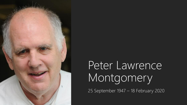

# Peter Lawrence Montgomery

25 September 1947 – 18 February 2020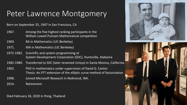### Peter Lawrence Montgomery

Born on September 25, 1947 in San Francisco, CA

- 1967. Among the five highest ranking participants in the William Lowell Putnam Mathematical competition
- 1969. BA in Mathematics (UC Berkeley)
- 1971. MA in Mathematics (UC Berkeley)
- 1972-1982. Scientific and system programming at System Development Corporation (SDC), Huntsville, Alabama
- 1982-1989. Transferred to SDC (later renamed Unisys) in Santa Monica, California
- 1992. PhD in mathematics under supervision of David G. Cantor Thesis: An FFT extension of the elliptic curve method of factorization
- 1998. Joined Microsoft Research in Redmond, WA.
- 2014. Retirement.







Died February 18, 2020 in Pong, Thailand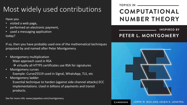### Most widely used contributions

Have you

- visited a web page,
- performed an electronic payment,
- used a messaging application today?

If so, then you have probably used one of the mathematical techniques proposed by and named after Peter Montgomery.

- Montgomery multiplication Main approach used in RSA
	- $\rightarrow$  virtually all HTTPS certificates use RSA for signatures
- Montgomery curves Example: Curve25519 used in Signal, WhatsApp, TLS, etc
- Montgomery ladder

Essential technique to harden (against side-channel attacks) ECC implementations. Used in billions of payments and transit products.

See for more info: www.joppebos.com/montgomery

#### **COMPUTATIONAL NUMBER THEORY**

**INSPIRED BY** 

#### PETER L. MONTGOMERY



JOPPE W. BOS AND ARJEN K. LENSTRA **CAMBRIDGE**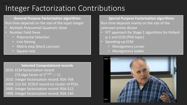#### Integer Factorization Contributions 2,1193-

**General Purpose Factorization algorithms** Run-time depends on the size of the input integer

- Multiple Polynomial Quadratic Sieve
- Number Field Sieve
	- Polynomial Selection
	- Line Sieving
	- Matrix step (block Lanczos)
	- Square root

**Selected Computational records**

2010. ECM factorization record (73-digit factor of  $2^{1181} - 1$ ) 2010. Integer factorization record: RSA-768 2009. 112-bit ECDLP record on cluster of PS3s 2000. Integer factorization record: RSA-512 1999. Integer factorization record: RSA-140

**Special Purpose Factorization algorithms** Run-time depends mainly on the size of the unknown prime divisor

- FFT approach for Stage 2 algorithms for Pollard p-1 and ECM (PhD topic)
- Speeding-up ECM
	- Montgomery curves
	- Montgomery ladder

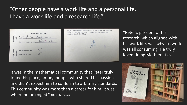### "Other people have a work life and a personal life. I have a work life and a research life."





"Peter's passion for his research, which aligned with his work life, was why his work was all consuming. He truly loved doing Mathematics.

It was in the mathematical community that Peter truly found his place, among people who shared his passions, and didn't expect him to conform to arbitrary standards. This community was more than a career for him, it was where he belonged." (Dan Shumow)

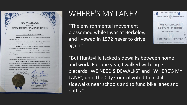

#### PETER MONTGOMERY

WHEREAS, in January, 2001 the City Council directed a Shuttle Bus Feasibility Study; and

WHEREAS, staff was directed to form a Shuttle Study Advisory Group to help develop goals and objectives and to oversee the study process; and

WHEREAS, in April, 2001 Peter was invited by the Mayor to participate, as a key stakeholder, in the Shuttle Study Advisory Group; and

WHEREAS, Peter was a valuable participant and provided the committee with insight, experience and expertise, and helped to direct the study to benefit everyone in San Rafael; and

WHEREAS, the Shuttle Bus Feasibility Study will be used to implement future circulation and parking improvements in San Rafael.

NOW, THEREFORE, BE IT RESOLVED that the Mayor and City Council hereby express sincere appreciation and gratitude to Peter Montgomery for his substantial contribution of time and effort to complete the shuttle study that will serve to guide and assist with future public transportation projects, and for his commitment to the hottomant of the San Rafael commun



### WHERE'S MY LANE?

"The environmental movement blossomed while I was at Berkeley, and I vowed in 1972 never to drive again."



"But Huntsville lacked sidewalks between home and work. For one year, I walked with large placards "WE NEED SIDEWALKS" and "WHERE'S MY LANE", until the City Council voted to install sidewalks near schools and to fund bike lanes and paths."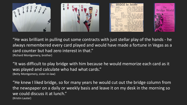

"He was brilliant in pulling out some contracts with just stellar play of the hands - he always remembered every card played and would have made a fortune in Vegas as a card counter but had zero interest in that." (Richard Montgomery, brother)

"It was difficult to play bridge with him because he would memorize each card as it was played and calculate who had what cards."

(Betty Montgomery, sister-in-law)

"He knew I liked bridge, so for many years he would cut out the bridge column from the newspaper on a daily or weekly basis and leave it on my desk in the morning so we could discuss it at lunch." (Kristin Lauter)